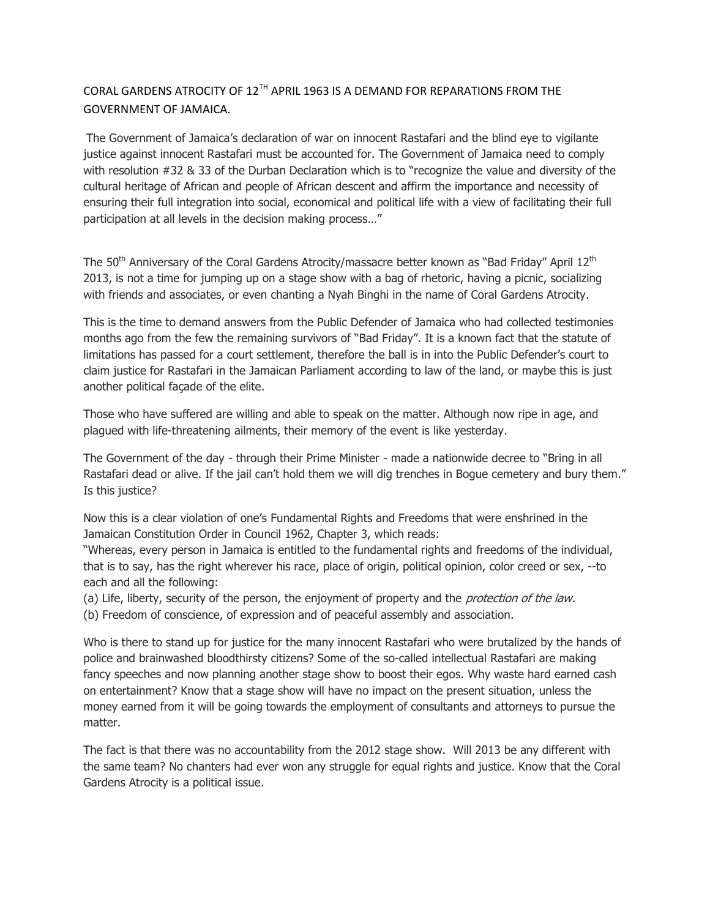## CORAL GARDENS ATROCITY OF 12TH APRIL 1963 IS A DEMAND FOR REPARATIONS FROM THE GOVERNMENT OF JAMAICA.

The Government of Jamaica's declaration of war on innocent Rastafari and the blind eye to vigilante justice against innocent Rastafari must be accounted for. The Government of Jamaica need to comply with resolution #32 & 33 of the Durban Declaration which is to "recognize the value and diversity of the cultural heritage of African and people of African descent and affirm the importance and necessity of ensuring their full integration into social, economical and political life with a view of facilitating their full participation at all levels in the decision making process…"

The 50<sup>th</sup> Anniversary of the Coral Gardens Atrocity/massacre better known as "Bad Friday" April 12<sup>th</sup> 2013, is not a time for jumping up on a stage show with a bag of rhetoric, having a picnic, socializing with friends and associates, or even chanting a Nyah Binghi in the name of Coral Gardens Atrocity.

This is the time to demand answers from the Public Defender of Jamaica who had collected testimonies months ago from the few the remaining survivors of "Bad Friday". It is a known fact that the statute of limitations has passed for a court settlement, therefore the ball is in into the Public Defender's court to claim justice for Rastafari in the Jamaican Parliament according to law of the land, or maybe this is just another political façade of the elite.

Those who have suffered are willing and able to speak on the matter. Although now ripe in age, and plagued with life-threatening ailments, their memory of the event is like yesterday.

The Government of the day - through their Prime Minister - made a nationwide decree to "Bring in all Rastafari dead or alive. If the jail can't hold them we will dig trenches in Bogue cemetery and bury them." Is this justice?

Now this is a clear violation of one's Fundamental Rights and Freedoms that were enshrined in the Jamaican Constitution Order in Council 1962, Chapter 3, which reads:

"Whereas, every person in Jamaica is entitled to the fundamental rights and freedoms of the individual, that is to say, has the right wherever his race, place of origin, political opinion, color creed or sex, --to each and all the following:

(a) Life, liberty, security of the person, the enjoyment of property and the *protection of the law*. (b) Freedom of conscience, of expression and of peaceful assembly and association.

Who is there to stand up for justice for the many innocent Rastafari who were brutalized by the hands of police and brainwashed bloodthirsty citizens? Some of the so-called intellectual Rastafari are making fancy speeches and now planning another stage show to boost their egos. Why waste hard earned cash on entertainment? Know that a stage show will have no impact on the present situation, unless the money earned from it will be going towards the employment of consultants and attorneys to pursue the matter.

The fact is that there was no accountability from the 2012 stage show. Will 2013 be any different with the same team? No chanters had ever won any struggle for equal rights and justice. Know that the Coral Gardens Atrocity is a political issue.